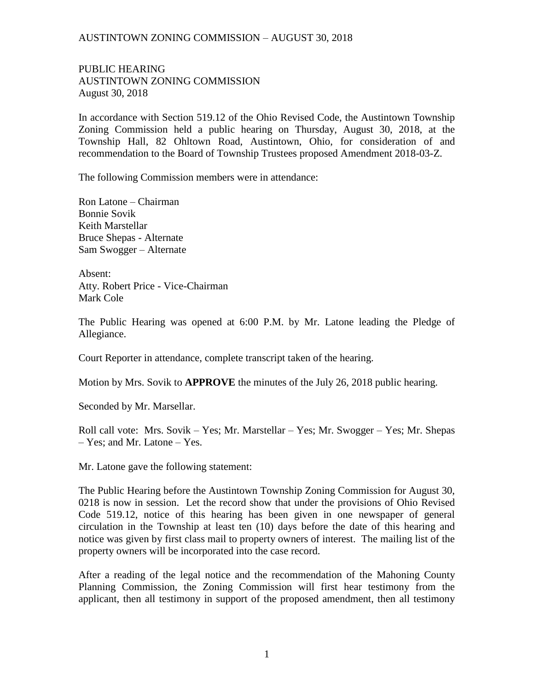PUBLIC HEARING AUSTINTOWN ZONING COMMISSION August 30, 2018

In accordance with Section 519.12 of the Ohio Revised Code, the Austintown Township Zoning Commission held a public hearing on Thursday, August 30, 2018, at the Township Hall, 82 Ohltown Road, Austintown, Ohio, for consideration of and recommendation to the Board of Township Trustees proposed Amendment 2018-03-Z.

The following Commission members were in attendance:

Ron Latone – Chairman Bonnie Sovik Keith Marstellar Bruce Shepas - Alternate Sam Swogger – Alternate

Absent: Atty. Robert Price - Vice-Chairman Mark Cole

The Public Hearing was opened at 6:00 P.M. by Mr. Latone leading the Pledge of Allegiance.

Court Reporter in attendance, complete transcript taken of the hearing.

Motion by Mrs. Sovik to **APPROVE** the minutes of the July 26, 2018 public hearing.

Seconded by Mr. Marsellar.

Roll call vote: Mrs. Sovik – Yes; Mr. Marstellar – Yes; Mr. Swogger – Yes; Mr. Shepas – Yes; and Mr. Latone – Yes.

Mr. Latone gave the following statement:

The Public Hearing before the Austintown Township Zoning Commission for August 30, 0218 is now in session. Let the record show that under the provisions of Ohio Revised Code 519.12, notice of this hearing has been given in one newspaper of general circulation in the Township at least ten (10) days before the date of this hearing and notice was given by first class mail to property owners of interest. The mailing list of the property owners will be incorporated into the case record.

After a reading of the legal notice and the recommendation of the Mahoning County Planning Commission, the Zoning Commission will first hear testimony from the applicant, then all testimony in support of the proposed amendment, then all testimony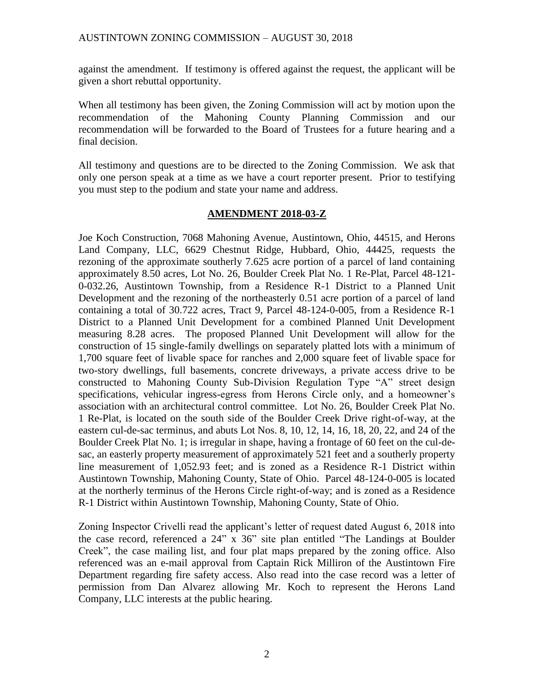against the amendment. If testimony is offered against the request, the applicant will be given a short rebuttal opportunity.

When all testimony has been given, the Zoning Commission will act by motion upon the recommendation of the Mahoning County Planning Commission and our recommendation will be forwarded to the Board of Trustees for a future hearing and a final decision.

All testimony and questions are to be directed to the Zoning Commission. We ask that only one person speak at a time as we have a court reporter present. Prior to testifying you must step to the podium and state your name and address.

# **AMENDMENT 2018-03-Z**

Joe Koch Construction, 7068 Mahoning Avenue, Austintown, Ohio, 44515, and Herons Land Company, LLC, 6629 Chestnut Ridge, Hubbard, Ohio, 44425, requests the rezoning of the approximate southerly 7.625 acre portion of a parcel of land containing approximately 8.50 acres, Lot No. 26, Boulder Creek Plat No. 1 Re-Plat, Parcel 48-121- 0-032.26, Austintown Township, from a Residence R-1 District to a Planned Unit Development and the rezoning of the northeasterly 0.51 acre portion of a parcel of land containing a total of 30.722 acres, Tract 9, Parcel 48-124-0-005, from a Residence R-1 District to a Planned Unit Development for a combined Planned Unit Development measuring 8.28 acres. The proposed Planned Unit Development will allow for the construction of 15 single-family dwellings on separately platted lots with a minimum of 1,700 square feet of livable space for ranches and 2,000 square feet of livable space for two-story dwellings, full basements, concrete driveways, a private access drive to be constructed to Mahoning County Sub-Division Regulation Type "A" street design specifications, vehicular ingress-egress from Herons Circle only, and a homeowner's association with an architectural control committee. Lot No. 26, Boulder Creek Plat No. 1 Re-Plat, is located on the south side of the Boulder Creek Drive right-of-way, at the eastern cul-de-sac terminus, and abuts Lot Nos. 8, 10, 12, 14, 16, 18, 20, 22, and 24 of the Boulder Creek Plat No. 1; is irregular in shape, having a frontage of 60 feet on the cul-desac, an easterly property measurement of approximately 521 feet and a southerly property line measurement of 1,052.93 feet; and is zoned as a Residence R-1 District within Austintown Township, Mahoning County, State of Ohio. Parcel 48-124-0-005 is located at the northerly terminus of the Herons Circle right-of-way; and is zoned as a Residence R-1 District within Austintown Township, Mahoning County, State of Ohio.

Zoning Inspector Crivelli read the applicant's letter of request dated August 6, 2018 into the case record, referenced a 24" x 36" site plan entitled "The Landings at Boulder Creek", the case mailing list, and four plat maps prepared by the zoning office. Also referenced was an e-mail approval from Captain Rick Milliron of the Austintown Fire Department regarding fire safety access. Also read into the case record was a letter of permission from Dan Alvarez allowing Mr. Koch to represent the Herons Land Company, LLC interests at the public hearing.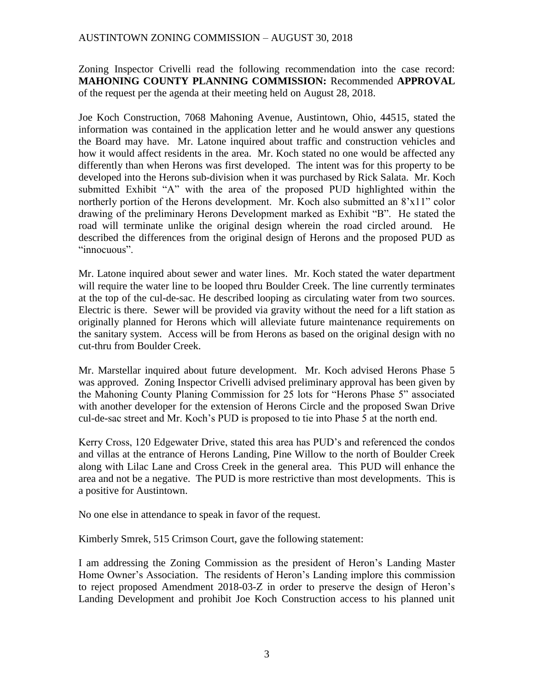Zoning Inspector Crivelli read the following recommendation into the case record: **MAHONING COUNTY PLANNING COMMISSION:** Recommended **APPROVAL** of the request per the agenda at their meeting held on August 28, 2018.

Joe Koch Construction, 7068 Mahoning Avenue, Austintown, Ohio, 44515, stated the information was contained in the application letter and he would answer any questions the Board may have. Mr. Latone inquired about traffic and construction vehicles and how it would affect residents in the area. Mr. Koch stated no one would be affected any differently than when Herons was first developed. The intent was for this property to be developed into the Herons sub-division when it was purchased by Rick Salata. Mr. Koch submitted Exhibit "A" with the area of the proposed PUD highlighted within the northerly portion of the Herons development. Mr. Koch also submitted an 8'x11" color drawing of the preliminary Herons Development marked as Exhibit "B". He stated the road will terminate unlike the original design wherein the road circled around. He described the differences from the original design of Herons and the proposed PUD as "innocuous".

Mr. Latone inquired about sewer and water lines. Mr. Koch stated the water department will require the water line to be looped thru Boulder Creek. The line currently terminates at the top of the cul-de-sac. He described looping as circulating water from two sources. Electric is there. Sewer will be provided via gravity without the need for a lift station as originally planned for Herons which will alleviate future maintenance requirements on the sanitary system. Access will be from Herons as based on the original design with no cut-thru from Boulder Creek.

Mr. Marstellar inquired about future development. Mr. Koch advised Herons Phase 5 was approved. Zoning Inspector Crivelli advised preliminary approval has been given by the Mahoning County Planing Commission for 25 lots for "Herons Phase 5" associated with another developer for the extension of Herons Circle and the proposed Swan Drive cul-de-sac street and Mr. Koch's PUD is proposed to tie into Phase 5 at the north end.

Kerry Cross, 120 Edgewater Drive, stated this area has PUD's and referenced the condos and villas at the entrance of Herons Landing, Pine Willow to the north of Boulder Creek along with Lilac Lane and Cross Creek in the general area. This PUD will enhance the area and not be a negative. The PUD is more restrictive than most developments. This is a positive for Austintown.

No one else in attendance to speak in favor of the request.

Kimberly Smrek, 515 Crimson Court, gave the following statement:

I am addressing the Zoning Commission as the president of Heron's Landing Master Home Owner's Association. The residents of Heron's Landing implore this commission to reject proposed Amendment 2018-03-Z in order to preserve the design of Heron's Landing Development and prohibit Joe Koch Construction access to his planned unit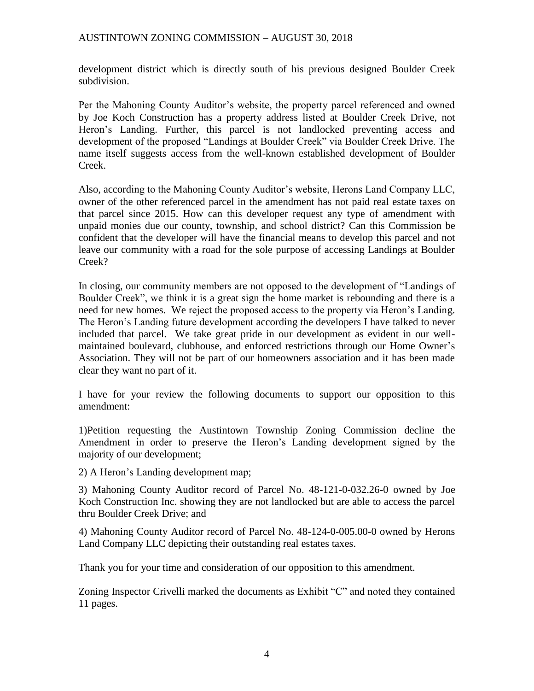development district which is directly south of his previous designed Boulder Creek subdivision.

Per the Mahoning County Auditor's website, the property parcel referenced and owned by Joe Koch Construction has a property address listed at Boulder Creek Drive, not Heron's Landing. Further, this parcel is not landlocked preventing access and development of the proposed "Landings at Boulder Creek" via Boulder Creek Drive. The name itself suggests access from the well-known established development of Boulder Creek.

Also, according to the Mahoning County Auditor's website, Herons Land Company LLC, owner of the other referenced parcel in the amendment has not paid real estate taxes on that parcel since 2015. How can this developer request any type of amendment with unpaid monies due our county, township, and school district? Can this Commission be confident that the developer will have the financial means to develop this parcel and not leave our community with a road for the sole purpose of accessing Landings at Boulder Creek?

In closing, our community members are not opposed to the development of "Landings of Boulder Creek", we think it is a great sign the home market is rebounding and there is a need for new homes. We reject the proposed access to the property via Heron's Landing. The Heron's Landing future development according the developers I have talked to never included that parcel. We take great pride in our development as evident in our wellmaintained boulevard, clubhouse, and enforced restrictions through our Home Owner's Association. They will not be part of our homeowners association and it has been made clear they want no part of it.

I have for your review the following documents to support our opposition to this amendment:

1)Petition requesting the Austintown Township Zoning Commission decline the Amendment in order to preserve the Heron's Landing development signed by the majority of our development;

2) A Heron's Landing development map;

3) Mahoning County Auditor record of Parcel No. 48-121-0-032.26-0 owned by Joe Koch Construction Inc. showing they are not landlocked but are able to access the parcel thru Boulder Creek Drive; and

4) Mahoning County Auditor record of Parcel No. 48-124-0-005.00-0 owned by Herons Land Company LLC depicting their outstanding real estates taxes.

Thank you for your time and consideration of our opposition to this amendment.

Zoning Inspector Crivelli marked the documents as Exhibit "C" and noted they contained 11 pages.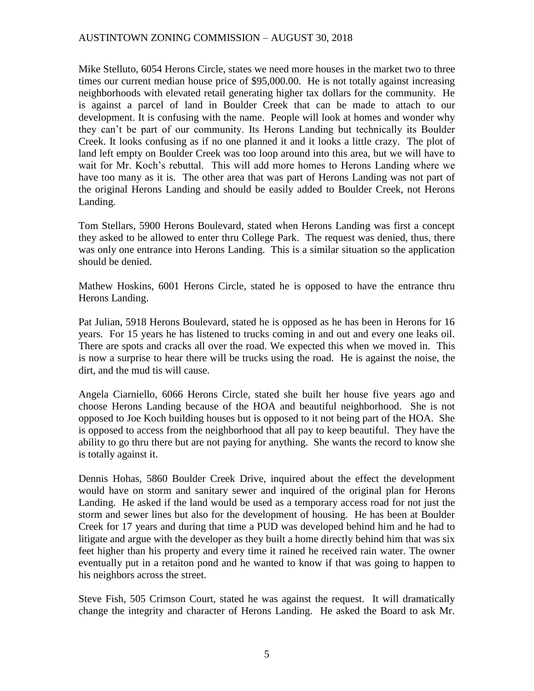Mike Stelluto, 6054 Herons Circle, states we need more houses in the market two to three times our current median house price of \$95,000.00. He is not totally against increasing neighborhoods with elevated retail generating higher tax dollars for the community. He is against a parcel of land in Boulder Creek that can be made to attach to our development. It is confusing with the name. People will look at homes and wonder why they can't be part of our community. Its Herons Landing but technically its Boulder Creek. It looks confusing as if no one planned it and it looks a little crazy. The plot of land left empty on Boulder Creek was too loop around into this area, but we will have to wait for Mr. Koch's rebuttal. This will add more homes to Herons Landing where we have too many as it is. The other area that was part of Herons Landing was not part of the original Herons Landing and should be easily added to Boulder Creek, not Herons Landing.

Tom Stellars, 5900 Herons Boulevard, stated when Herons Landing was first a concept they asked to be allowed to enter thru College Park. The request was denied, thus, there was only one entrance into Herons Landing. This is a similar situation so the application should be denied.

Mathew Hoskins, 6001 Herons Circle, stated he is opposed to have the entrance thru Herons Landing.

Pat Julian, 5918 Herons Boulevard, stated he is opposed as he has been in Herons for 16 years. For 15 years he has listened to trucks coming in and out and every one leaks oil. There are spots and cracks all over the road. We expected this when we moved in. This is now a surprise to hear there will be trucks using the road. He is against the noise, the dirt, and the mud tis will cause.

Angela Ciarniello, 6066 Herons Circle, stated she built her house five years ago and choose Herons Landing because of the HOA and beautiful neighborhood. She is not opposed to Joe Koch building houses but is opposed to it not being part of the HOA. She is opposed to access from the neighborhood that all pay to keep beautiful. They have the ability to go thru there but are not paying for anything. She wants the record to know she is totally against it.

Dennis Hohas, 5860 Boulder Creek Drive, inquired about the effect the development would have on storm and sanitary sewer and inquired of the original plan for Herons Landing. He asked if the land would be used as a temporary access road for not just the storm and sewer lines but also for the development of housing. He has been at Boulder Creek for 17 years and during that time a PUD was developed behind him and he had to litigate and argue with the developer as they built a home directly behind him that was six feet higher than his property and every time it rained he received rain water. The owner eventually put in a retaiton pond and he wanted to know if that was going to happen to his neighbors across the street.

Steve Fish, 505 Crimson Court, stated he was against the request. It will dramatically change the integrity and character of Herons Landing. He asked the Board to ask Mr.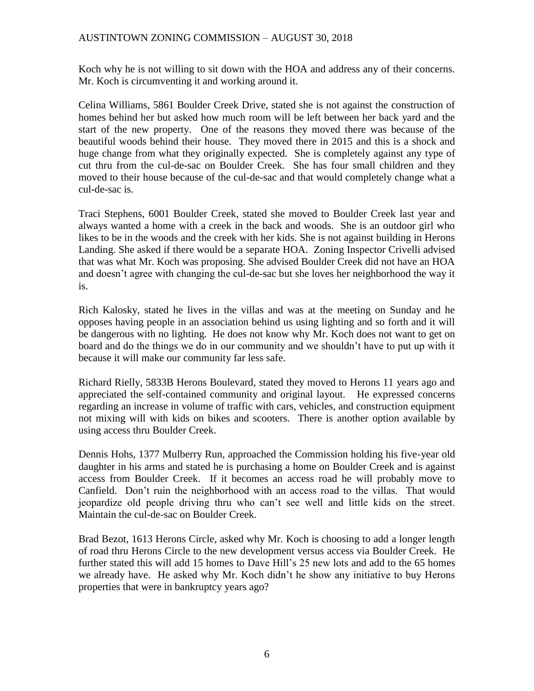Koch why he is not willing to sit down with the HOA and address any of their concerns. Mr. Koch is circumventing it and working around it.

Celina Williams, 5861 Boulder Creek Drive, stated she is not against the construction of homes behind her but asked how much room will be left between her back yard and the start of the new property. One of the reasons they moved there was because of the beautiful woods behind their house. They moved there in 2015 and this is a shock and huge change from what they originally expected. She is completely against any type of cut thru from the cul-de-sac on Boulder Creek. She has four small children and they moved to their house because of the cul-de-sac and that would completely change what a cul-de-sac is.

Traci Stephens, 6001 Boulder Creek, stated she moved to Boulder Creek last year and always wanted a home with a creek in the back and woods. She is an outdoor girl who likes to be in the woods and the creek with her kids. She is not against building in Herons Landing. She asked if there would be a separate HOA. Zoning Inspector Crivelli advised that was what Mr. Koch was proposing. She advised Boulder Creek did not have an HOA and doesn't agree with changing the cul-de-sac but she loves her neighborhood the way it is.

Rich Kalosky, stated he lives in the villas and was at the meeting on Sunday and he opposes having people in an association behind us using lighting and so forth and it will be dangerous with no lighting. He does not know why Mr. Koch does not want to get on board and do the things we do in our community and we shouldn't have to put up with it because it will make our community far less safe.

Richard Rielly, 5833B Herons Boulevard, stated they moved to Herons 11 years ago and appreciated the self-contained community and original layout. He expressed concerns regarding an increase in volume of traffic with cars, vehicles, and construction equipment not mixing will with kids on bikes and scooters. There is another option available by using access thru Boulder Creek.

Dennis Hohs, 1377 Mulberry Run, approached the Commission holding his five-year old daughter in his arms and stated he is purchasing a home on Boulder Creek and is against access from Boulder Creek. If it becomes an access road he will probably move to Canfield. Don't ruin the neighborhood with an access road to the villas. That would jeopardize old people driving thru who can't see well and little kids on the street. Maintain the cul-de-sac on Boulder Creek.

Brad Bezot, 1613 Herons Circle, asked why Mr. Koch is choosing to add a longer length of road thru Herons Circle to the new development versus access via Boulder Creek. He further stated this will add 15 homes to Dave Hill's 25 new lots and add to the 65 homes we already have. He asked why Mr. Koch didn't he show any initiative to buy Herons properties that were in bankruptcy years ago?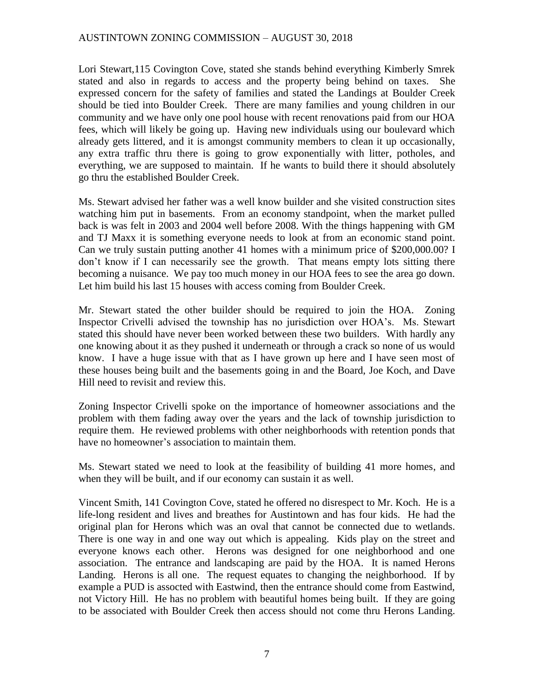Lori Stewart,115 Covington Cove, stated she stands behind everything Kimberly Smrek stated and also in regards to access and the property being behind on taxes. She expressed concern for the safety of families and stated the Landings at Boulder Creek should be tied into Boulder Creek. There are many families and young children in our community and we have only one pool house with recent renovations paid from our HOA fees, which will likely be going up. Having new individuals using our boulevard which already gets littered, and it is amongst community members to clean it up occasionally, any extra traffic thru there is going to grow exponentially with litter, potholes, and everything, we are supposed to maintain. If he wants to build there it should absolutely go thru the established Boulder Creek.

Ms. Stewart advised her father was a well know builder and she visited construction sites watching him put in basements. From an economy standpoint, when the market pulled back is was felt in 2003 and 2004 well before 2008. With the things happening with GM and TJ Maxx it is something everyone needs to look at from an economic stand point. Can we truly sustain putting another 41 homes with a minimum price of \$200,000.00? I don't know if I can necessarily see the growth. That means empty lots sitting there becoming a nuisance. We pay too much money in our HOA fees to see the area go down. Let him build his last 15 houses with access coming from Boulder Creek.

Mr. Stewart stated the other builder should be required to join the HOA. Zoning Inspector Crivelli advised the township has no jurisdiction over HOA's. Ms. Stewart stated this should have never been worked between these two builders. With hardly any one knowing about it as they pushed it underneath or through a crack so none of us would know. I have a huge issue with that as I have grown up here and I have seen most of these houses being built and the basements going in and the Board, Joe Koch, and Dave Hill need to revisit and review this.

Zoning Inspector Crivelli spoke on the importance of homeowner associations and the problem with them fading away over the years and the lack of township jurisdiction to require them. He reviewed problems with other neighborhoods with retention ponds that have no homeowner's association to maintain them.

Ms. Stewart stated we need to look at the feasibility of building 41 more homes, and when they will be built, and if our economy can sustain it as well.

Vincent Smith, 141 Covington Cove, stated he offered no disrespect to Mr. Koch. He is a life-long resident and lives and breathes for Austintown and has four kids. He had the original plan for Herons which was an oval that cannot be connected due to wetlands. There is one way in and one way out which is appealing. Kids play on the street and everyone knows each other. Herons was designed for one neighborhood and one association. The entrance and landscaping are paid by the HOA. It is named Herons Landing. Herons is all one. The request equates to changing the neighborhood. If by example a PUD is assocted with Eastwind, then the entrance should come from Eastwind, not Victory Hill. He has no problem with beautiful homes being built. If they are going to be associated with Boulder Creek then access should not come thru Herons Landing.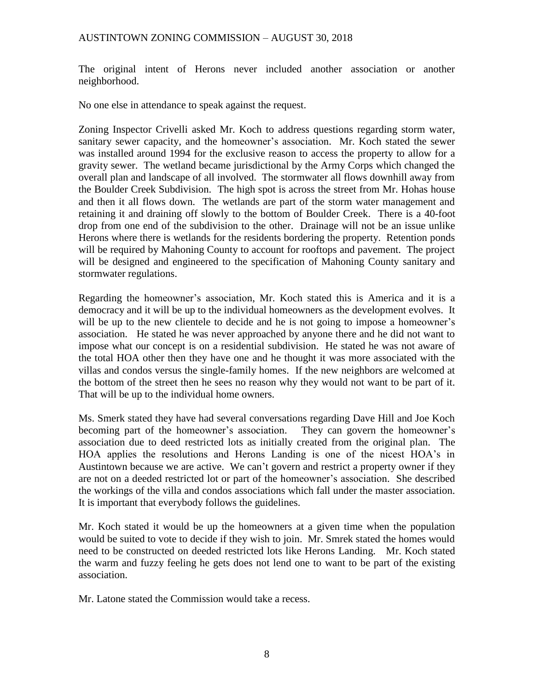The original intent of Herons never included another association or another neighborhood.

No one else in attendance to speak against the request.

Zoning Inspector Crivelli asked Mr. Koch to address questions regarding storm water, sanitary sewer capacity, and the homeowner's association. Mr. Koch stated the sewer was installed around 1994 for the exclusive reason to access the property to allow for a gravity sewer. The wetland became jurisdictional by the Army Corps which changed the overall plan and landscape of all involved. The stormwater all flows downhill away from the Boulder Creek Subdivision. The high spot is across the street from Mr. Hohas house and then it all flows down. The wetlands are part of the storm water management and retaining it and draining off slowly to the bottom of Boulder Creek. There is a 40-foot drop from one end of the subdivision to the other. Drainage will not be an issue unlike Herons where there is wetlands for the residents bordering the property. Retention ponds will be required by Mahoning County to account for rooftops and pavement. The project will be designed and engineered to the specification of Mahoning County sanitary and stormwater regulations.

Regarding the homeowner's association, Mr. Koch stated this is America and it is a democracy and it will be up to the individual homeowners as the development evolves. It will be up to the new clientele to decide and he is not going to impose a homeowner's association. He stated he was never approached by anyone there and he did not want to impose what our concept is on a residential subdivision. He stated he was not aware of the total HOA other then they have one and he thought it was more associated with the villas and condos versus the single-family homes. If the new neighbors are welcomed at the bottom of the street then he sees no reason why they would not want to be part of it. That will be up to the individual home owners.

Ms. Smerk stated they have had several conversations regarding Dave Hill and Joe Koch becoming part of the homeowner's association. They can govern the homeowner's association due to deed restricted lots as initially created from the original plan. The HOA applies the resolutions and Herons Landing is one of the nicest HOA's in Austintown because we are active. We can't govern and restrict a property owner if they are not on a deeded restricted lot or part of the homeowner's association. She described the workings of the villa and condos associations which fall under the master association. It is important that everybody follows the guidelines.

Mr. Koch stated it would be up the homeowners at a given time when the population would be suited to vote to decide if they wish to join. Mr. Smrek stated the homes would need to be constructed on deeded restricted lots like Herons Landing. Mr. Koch stated the warm and fuzzy feeling he gets does not lend one to want to be part of the existing association.

Mr. Latone stated the Commission would take a recess.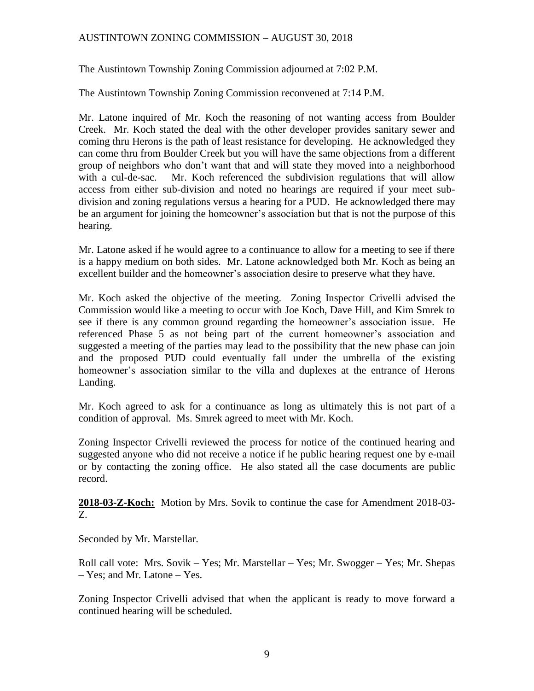The Austintown Township Zoning Commission adjourned at 7:02 P.M.

The Austintown Township Zoning Commission reconvened at 7:14 P.M.

Mr. Latone inquired of Mr. Koch the reasoning of not wanting access from Boulder Creek. Mr. Koch stated the deal with the other developer provides sanitary sewer and coming thru Herons is the path of least resistance for developing. He acknowledged they can come thru from Boulder Creek but you will have the same objections from a different group of neighbors who don't want that and will state they moved into a neighborhood with a cul-de-sac. Mr. Koch referenced the subdivision regulations that will allow access from either sub-division and noted no hearings are required if your meet subdivision and zoning regulations versus a hearing for a PUD. He acknowledged there may be an argument for joining the homeowner's association but that is not the purpose of this hearing.

Mr. Latone asked if he would agree to a continuance to allow for a meeting to see if there is a happy medium on both sides. Mr. Latone acknowledged both Mr. Koch as being an excellent builder and the homeowner's association desire to preserve what they have.

Mr. Koch asked the objective of the meeting. Zoning Inspector Crivelli advised the Commission would like a meeting to occur with Joe Koch, Dave Hill, and Kim Smrek to see if there is any common ground regarding the homeowner's association issue. He referenced Phase 5 as not being part of the current homeowner's association and suggested a meeting of the parties may lead to the possibility that the new phase can join and the proposed PUD could eventually fall under the umbrella of the existing homeowner's association similar to the villa and duplexes at the entrance of Herons Landing.

Mr. Koch agreed to ask for a continuance as long as ultimately this is not part of a condition of approval. Ms. Smrek agreed to meet with Mr. Koch.

Zoning Inspector Crivelli reviewed the process for notice of the continued hearing and suggested anyone who did not receive a notice if he public hearing request one by e-mail or by contacting the zoning office. He also stated all the case documents are public record.

**2018-03-Z-Koch:** Motion by Mrs. Sovik to continue the case for Amendment 2018-03- Z.

Seconded by Mr. Marstellar.

Roll call vote: Mrs. Sovik – Yes; Mr. Marstellar – Yes; Mr. Swogger – Yes; Mr. Shepas – Yes; and Mr. Latone – Yes.

Zoning Inspector Crivelli advised that when the applicant is ready to move forward a continued hearing will be scheduled.